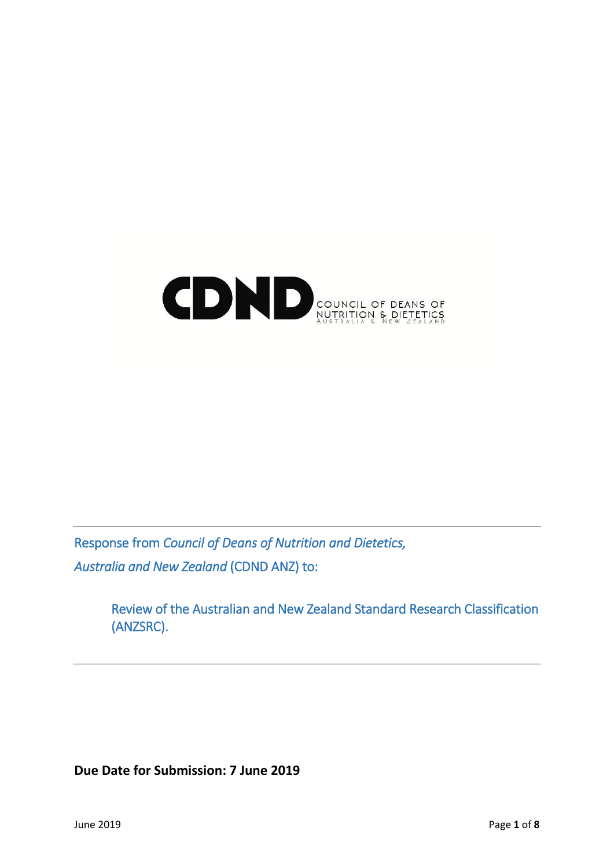# COUNCIL OF DEANS OF

Response from *Council of Deans of Nutrition and Dietetics, Australia and New Zealand* (CDND ANZ) to:

> Review of the Australian and New Zealand Standard Research Classification (ANZSRC).

**Due Date for Submission: 7 June 2019**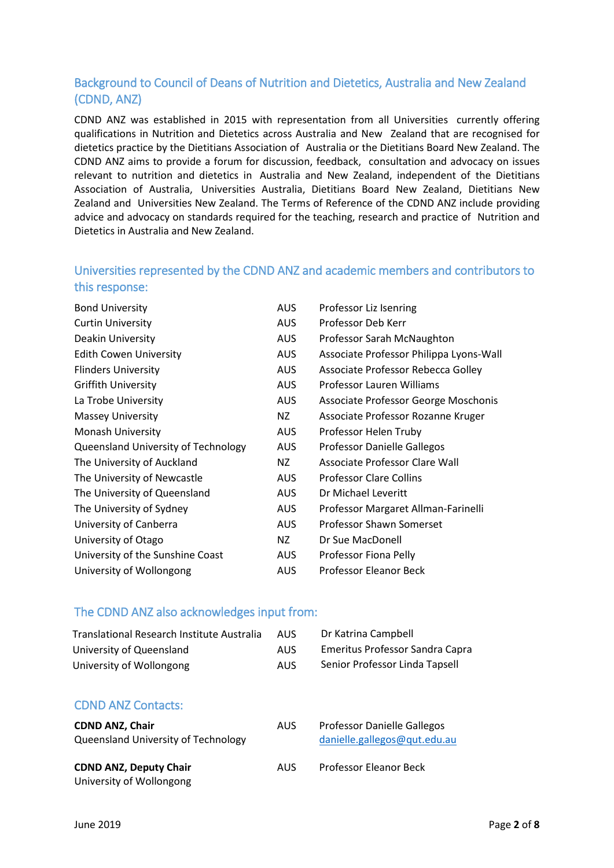# Background to Council of Deans of Nutrition and Dietetics, Australia and New Zealand (CDND, ANZ)

CDND ANZ was established in 2015 with representation from all Universities currently offering qualifications in Nutrition and Dietetics across Australia and New Zealand that are recognised for dietetics practice by the Dietitians Association of Australia or the Dietitians Board New Zealand. The CDND ANZ aims to provide a forum for discussion, feedback, consultation and advocacy on issues relevant to nutrition and dietetics in Australia and New Zealand, independent of the Dietitians Association of Australia, Universities Australia, Dietitians Board New Zealand, Dietitians New Zealand and Universities New Zealand. The Terms of Reference of the CDND ANZ include providing advice and advocacy on standards required for the teaching, research and practice of Nutrition and Dietetics in Australia and New Zealand.

# Universities represented by the CDND ANZ and academic members and contributors to this response:

| AUS.       | Professor Liz Isenring                  |
|------------|-----------------------------------------|
| <b>AUS</b> | Professor Deb Kerr                      |
| <b>AUS</b> | Professor Sarah McNaughton              |
| <b>AUS</b> | Associate Professor Philippa Lyons-Wall |
| <b>AUS</b> | Associate Professor Rebecca Golley      |
| <b>AUS</b> | Professor Lauren Williams               |
| <b>AUS</b> | Associate Professor George Moschonis    |
| NZ         | Associate Professor Rozanne Kruger      |
| <b>AUS</b> | Professor Helen Truby                   |
| <b>AUS</b> | Professor Danielle Gallegos             |
| NZ         | Associate Professor Clare Wall          |
| AUS.       | <b>Professor Clare Collins</b>          |
| <b>AUS</b> | Dr Michael Leveritt                     |
| <b>AUS</b> | Professor Margaret Allman-Farinelli     |
| <b>AUS</b> | Professor Shawn Somerset                |
| NZ         | Dr Sue MacDonell                        |
| <b>AUS</b> | Professor Fiona Pelly                   |
| <b>AUS</b> | Professor Eleanor Beck                  |
|            |                                         |

# The CDND ANZ also acknowledges input from:

| Translational Research Institute Australia | AUS. | Dr Katrina Campbell                    |
|--------------------------------------------|------|----------------------------------------|
| University of Queensland                   | AUS. | <b>Emeritus Professor Sandra Capra</b> |
| University of Wollongong                   | AUS  | Senior Professor Linda Tapsell         |

# CDND ANZ Contacts:

| <b>CDND ANZ, Chair</b><br>Queensland University of Technology | AUS. | <b>Professor Danielle Gallegos</b><br>danielle.gallegos@qut.edu.au |
|---------------------------------------------------------------|------|--------------------------------------------------------------------|
| <b>CDND ANZ, Deputy Chair</b><br>University of Wollongong     | AUS. | <b>Professor Eleanor Beck</b>                                      |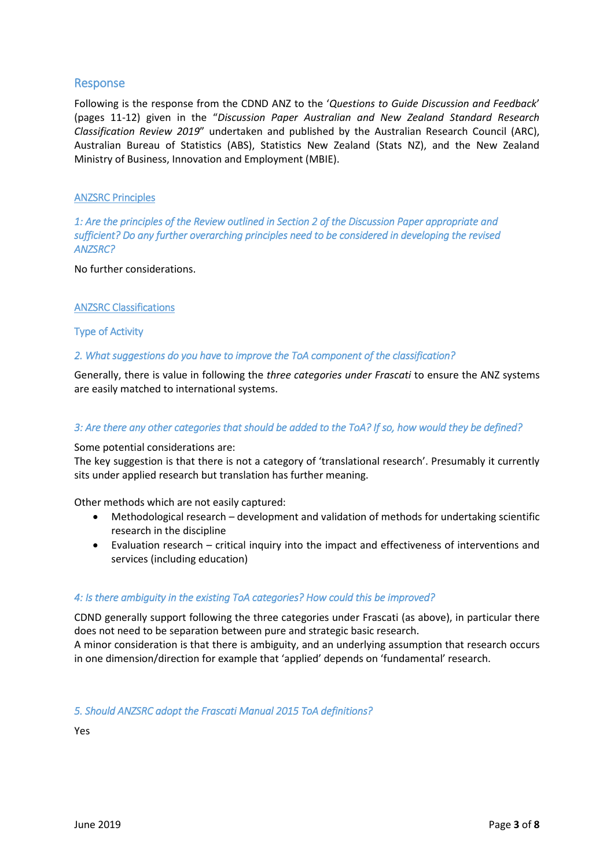# Response

Following is the response from the CDND ANZ to the '*Questions to Guide Discussion and Feedback*' (pages 11-12) given in the "*Discussion Paper Australian and New Zealand Standard Research Classification Review 2019*" undertaken and published by the Australian Research Council (ARC), Australian Bureau of Statistics (ABS), Statistics New Zealand (Stats NZ), and the New Zealand Ministry of Business, Innovation and Employment (MBIE).

#### ANZSRC Principles

*1: Are the principles of the Review outlined in Section 2 of the Discussion Paper appropriate and sufficient? Do any further overarching principles need to be considered in developing the revised ANZSRC?* 

No further considerations.

#### ANZSRC Classifications

#### Type of Activity

#### *2. What suggestions do you have to improve the ToA component of the classification?*

Generally, there is value in following the *three categories under Frascati* to ensure the ANZ systems are easily matched to international systems.

#### *3: Are there any other categories that should be added to the ToA? If so, how would they be defined?*

Some potential considerations are:

The key suggestion is that there is not a category of 'translational research'. Presumably it currently sits under applied research but translation has further meaning.

Other methods which are not easily captured:

- Methodological research development and validation of methods for undertaking scientific research in the discipline
- Evaluation research critical inquiry into the impact and effectiveness of interventions and services (including education)

#### *4: Is there ambiguity in the existing ToA categories? How could this be improved?*

CDND generally support following the three categories under Frascati (as above), in particular there does not need to be separation between pure and strategic basic research.

A minor consideration is that there is ambiguity, and an underlying assumption that research occurs in one dimension/direction for example that 'applied' depends on 'fundamental' research.

#### *5. Should ANZSRC adopt the Frascati Manual 2015 ToA definitions?*

Yes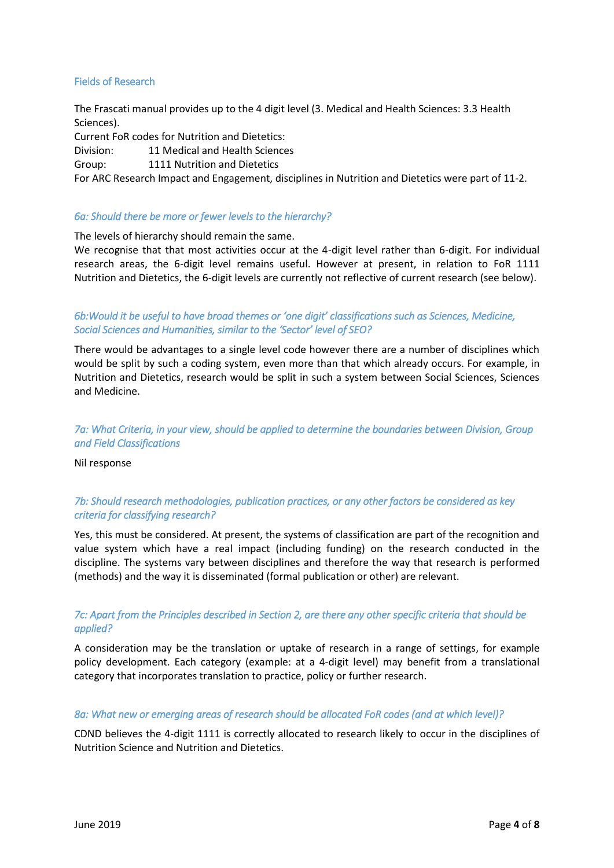#### Fields of Research

The Frascati manual provides up to the 4 digit level (3. Medical and Health Sciences: 3.3 Health Sciences).

Current FoR codes for Nutrition and Dietetics:

Division: 11 Medical and Health Sciences

Group: 1111 Nutrition and Dietetics

For ARC Research Impact and Engagement, disciplines in Nutrition and Dietetics were part of 11-2.

#### *6a: Should there be more or fewer levels to the hierarchy?*

The levels of hierarchy should remain the same.

We recognise that that most activities occur at the 4-digit level rather than 6-digit. For individual research areas, the 6-digit level remains useful. However at present, in relation to FoR 1111 Nutrition and Dietetics, the 6-digit levels are currently not reflective of current research (see below).

#### *6b:Would it be useful to have broad themes or 'one digit' classifications such as Sciences, Medicine, Social Sciences and Humanities, similar to the 'Sector' level of SEO?*

There would be advantages to a single level code however there are a number of disciplines which would be split by such a coding system, even more than that which already occurs. For example, in Nutrition and Dietetics, research would be split in such a system between Social Sciences, Sciences and Medicine.

## *7a: What Criteria, in your view, should be applied to determine the boundaries between Division, Group and Field Classifications*

Nil response

# *7b: Should research methodologies, publication practices, or any other factors be considered as key criteria for classifying research?*

Yes, this must be considered. At present, the systems of classification are part of the recognition and value system which have a real impact (including funding) on the research conducted in the discipline. The systems vary between disciplines and therefore the way that research is performed (methods) and the way it is disseminated (formal publication or other) are relevant.

# *7c: Apart from the Principles described in Section 2, are there any other specific criteria that should be applied?*

A consideration may be the translation or uptake of research in a range of settings, for example policy development. Each category (example: at a 4-digit level) may benefit from a translational category that incorporates translation to practice, policy or further research.

#### *8a: What new or emerging areas of research should be allocated FoR codes (and at which level)?*

CDND believes the 4-digit 1111 is correctly allocated to research likely to occur in the disciplines of Nutrition Science and Nutrition and Dietetics.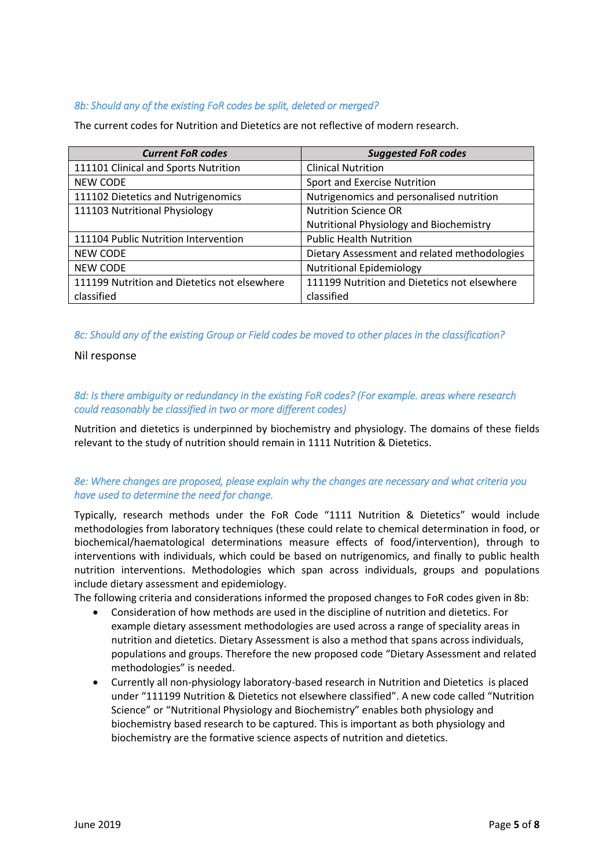## *8b: Should any of the existing FoR codes be split, deleted or merged?*

The current codes for Nutrition and Dietetics are not reflective of modern research.

| <b>Current FoR codes</b>                     | <b>Suggested FoR codes</b>                   |
|----------------------------------------------|----------------------------------------------|
| 111101 Clinical and Sports Nutrition         | <b>Clinical Nutrition</b>                    |
| <b>NEW CODE</b>                              | Sport and Exercise Nutrition                 |
| 111102 Dietetics and Nutrigenomics           | Nutrigenomics and personalised nutrition     |
| 111103 Nutritional Physiology                | <b>Nutrition Science OR</b>                  |
|                                              | Nutritional Physiology and Biochemistry      |
| 111104 Public Nutrition Intervention         | <b>Public Health Nutrition</b>               |
| <b>NEW CODE</b>                              | Dietary Assessment and related methodologies |
| <b>NEW CODE</b>                              | <b>Nutritional Epidemiology</b>              |
| 111199 Nutrition and Dietetics not elsewhere | 111199 Nutrition and Dietetics not elsewhere |
| classified                                   | classified                                   |

#### *8c: Should any of the existing Group or Field codes be moved to other places in the classification?*

Nil response

#### *8d: Is there ambiguity or redundancy in the existing FoR codes? (For example. areas where research could reasonably be classified in two or more different codes)*

Nutrition and dietetics is underpinned by biochemistry and physiology. The domains of these fields relevant to the study of nutrition should remain in 1111 Nutrition & Dietetics.

## *8e: Where changes are proposed, please explain why the changes are necessary and what criteria you have used to determine the need for change.*

Typically, research methods under the FoR Code "1111 Nutrition & Dietetics" would include methodologies from laboratory techniques (these could relate to chemical determination in food, or biochemical/haematological determinations measure effects of food/intervention), through to interventions with individuals, which could be based on nutrigenomics, and finally to public health nutrition interventions. Methodologies which span across individuals, groups and populations include dietary assessment and epidemiology.

The following criteria and considerations informed the proposed changes to FoR codes given in 8b:

- Consideration of how methods are used in the discipline of nutrition and dietetics. For example dietary assessment methodologies are used across a range of speciality areas in nutrition and dietetics. Dietary Assessment is also a method that spans across individuals, populations and groups. Therefore the new proposed code "Dietary Assessment and related methodologies" is needed.
- Currently all non-physiology laboratory-based research in Nutrition and Dietetics is placed under "111199 Nutrition & Dietetics not elsewhere classified". A new code called "Nutrition Science" or "Nutritional Physiology and Biochemistry" enables both physiology and biochemistry based research to be captured. This is important as both physiology and biochemistry are the formative science aspects of nutrition and dietetics.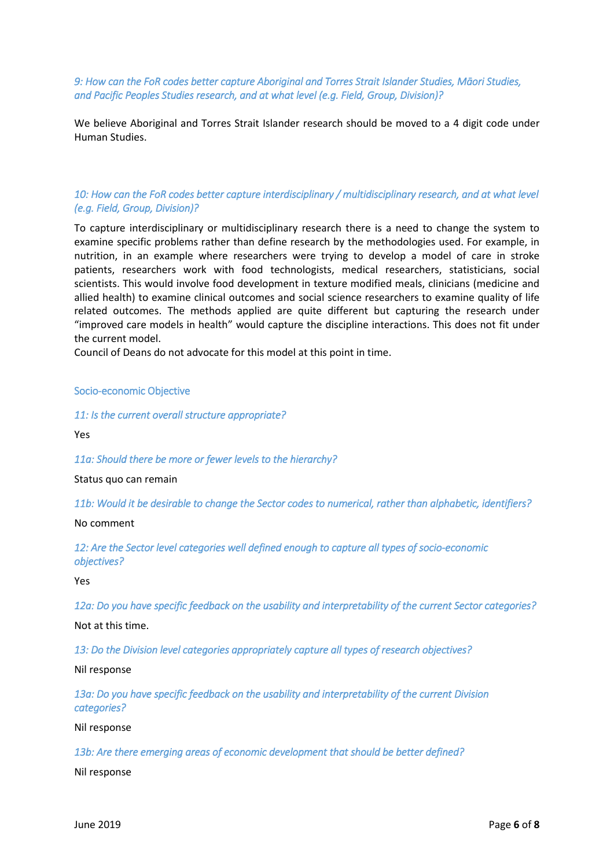*9: How can the FoR codes better capture Aboriginal and Torres Strait Islander Studies, Māori Studies, and Pacific Peoples Studies research, and at what level (e.g. Field, Group, Division)?* 

We believe Aboriginal and Torres Strait Islander research should be moved to a 4 digit code under Human Studies.

#### *10: How can the FoR codes better capture interdisciplinary / multidisciplinary research, and at what level (e.g. Field, Group, Division)?*

To capture interdisciplinary or multidisciplinary research there is a need to change the system to examine specific problems rather than define research by the methodologies used. For example, in nutrition, in an example where researchers were trying to develop a model of care in stroke patients, researchers work with food technologists, medical researchers, statisticians, social scientists. This would involve food development in texture modified meals, clinicians (medicine and allied health) to examine clinical outcomes and social science researchers to examine quality of life related outcomes. The methods applied are quite different but capturing the research under "improved care models in health" would capture the discipline interactions. This does not fit under the current model.

Council of Deans do not advocate for this model at this point in time.

Socio-economic Objective

*11: Is the current overall structure appropriate?* 

Yes

*11a: Should there be more or fewer levels to the hierarchy?* 

Status quo can remain

*11b: Would it be desirable to change the Sector codes to numerical, rather than alphabetic, identifiers?* 

No comment

*12: Are the Sector level categories well defined enough to capture all types of socio-economic objectives?* 

Yes

*12a: Do you have specific feedback on the usability and interpretability of the current Sector categories?* 

Not at this time.

*13: Do the Division level categories appropriately capture all types of research objectives?* 

Nil response

*13a: Do you have specific feedback on the usability and interpretability of the current Division categories?* 

Nil response

*13b: Are there emerging areas of economic development that should be better defined?* 

Nil response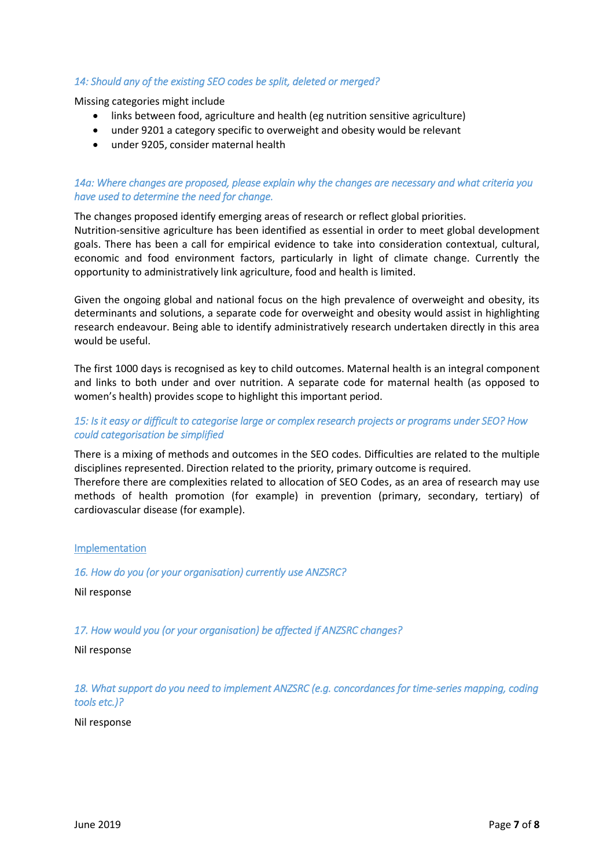## *14: Should any of the existing SEO codes be split, deleted or merged?*

Missing categories might include

- links between food, agriculture and health (eg nutrition sensitive agriculture)
- under 9201 a category specific to overweight and obesity would be relevant
- under 9205, consider maternal health

## *14a: Where changes are proposed, please explain why the changes are necessary and what criteria you have used to determine the need for change.*

The changes proposed identify emerging areas of research or reflect global priorities.

Nutrition-sensitive agriculture has been identified as essential in order to meet global development goals. There has been a call for empirical evidence to take into consideration contextual, cultural, economic and food environment factors, particularly in light of climate change. Currently the opportunity to administratively link agriculture, food and health is limited.

Given the ongoing global and national focus on the high prevalence of overweight and obesity, its determinants and solutions, a separate code for overweight and obesity would assist in highlighting research endeavour. Being able to identify administratively research undertaken directly in this area would be useful.

The first 1000 days is recognised as key to child outcomes. Maternal health is an integral component and links to both under and over nutrition. A separate code for maternal health (as opposed to women's health) provides scope to highlight this important period.

#### *15: Is it easy or difficult to categorise large or complex research projects or programs under SEO? How could categorisation be simplified*

There is a mixing of methods and outcomes in the SEO codes. Difficulties are related to the multiple disciplines represented. Direction related to the priority, primary outcome is required.

Therefore there are complexities related to allocation of SEO Codes, as an area of research may use methods of health promotion (for example) in prevention (primary, secondary, tertiary) of cardiovascular disease (for example).

#### Implementation

*16. How do you (or your organisation) currently use ANZSRC?* 

Nil response

*17. How would you (or your organisation) be affected if ANZSRC changes?* 

Nil response

*18. What support do you need to implement ANZSRC (e.g. concordances for time-series mapping, coding tools etc.)?* 

Nil response